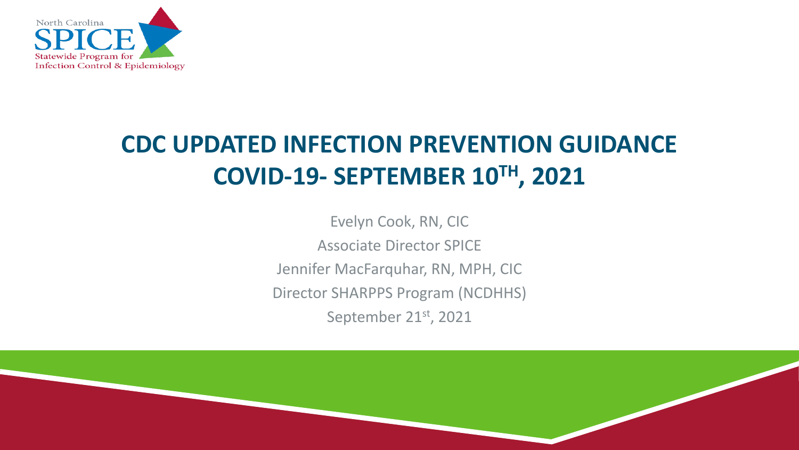

# **CDC UPDATED INFECTION PREVENTION GUIDANCE COVID-19- SEPTEMBER 10TH, 2021**

Evelyn Cook, RN, CIC Associate Director SPICE Jennifer MacFarquhar, RN, MPH, CIC Director SHARPPS Program (NCDHHS) September 21st, 2021

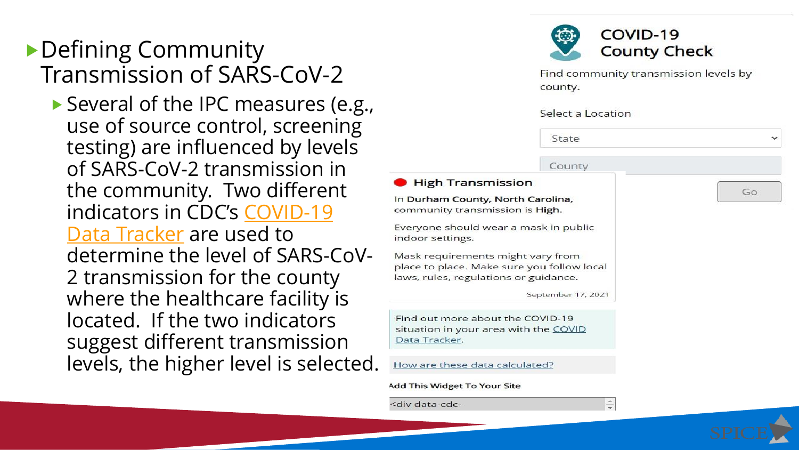## ▶ Defining Community Transmission of SARS-CoV-2

▶ Several of the IPC measures (e.g., use of source control, screening testing) are influenced by levels of SARS-CoV-2 transmission in the community. Two different [indicators in CDC's](https://covid.cdc.gov/covid-data-tracker/#county-view) COVID-19 Data Tracker are used to determine the level of SARS-CoV-2 transmission for the county where the healthcare facility is located. If the two indicators suggest different transmission levels, the higher level is selected.



**Add This Widget To Your Site** 

<div data-cdc-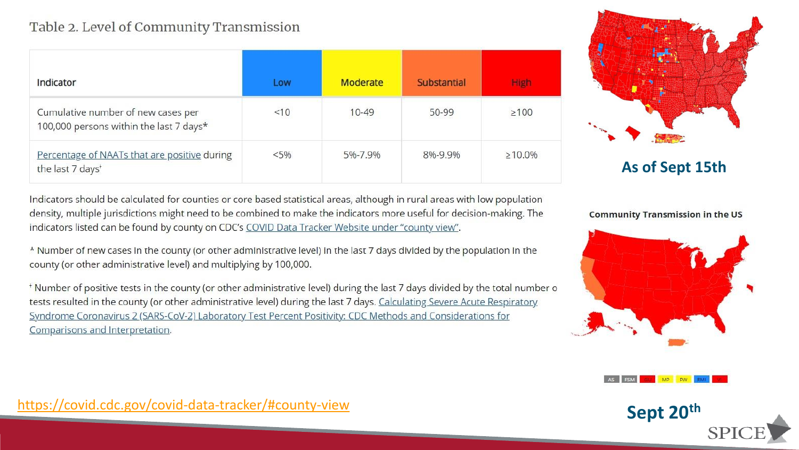#### Table 2. Level of Community Transmission

| Indicator                                                                     | Low     | Moderate  | <b>Substantial</b> | <b>High</b>   |
|-------------------------------------------------------------------------------|---------|-----------|--------------------|---------------|
| Cumulative number of new cases per<br>100,000 persons within the last 7 days* | <10     | $10 - 49$ | 50-99              | $\geq 100$    |
| Percentage of NAATs that are positive during<br>the last 7 days <sup>+</sup>  | $< 5\%$ | 5%-7.9%   | 8%-9.9%            | $\geq 10.0\%$ |

**As of Sept 15th**

Indicators should be calculated for counties or core based statistical areas, although in rural areas with low population density, multiple jurisdictions might need to be combined to make the indicators more useful for decision-making. The indicators listed can be found by county on CDC's COVID Data Tracker Website under "county view".

\* Number of new cases in the county (or other administrative level) in the last 7 days divided by the population in the county (or other administrative level) and multiplying by 100,000.

\*Number of positive tests in the county (or other administrative level) during the last 7 days divided by the total number o tests resulted in the county (or other administrative level) during the last 7 days. Calculating Severe Acute Respiratory Syndrome Coronavirus 2 (SARS-CoV-2) Laboratory Test Percent Positivity: CDC Methods and Considerations for Comparisons and Interpretation.

**Community Transmission in the US** 



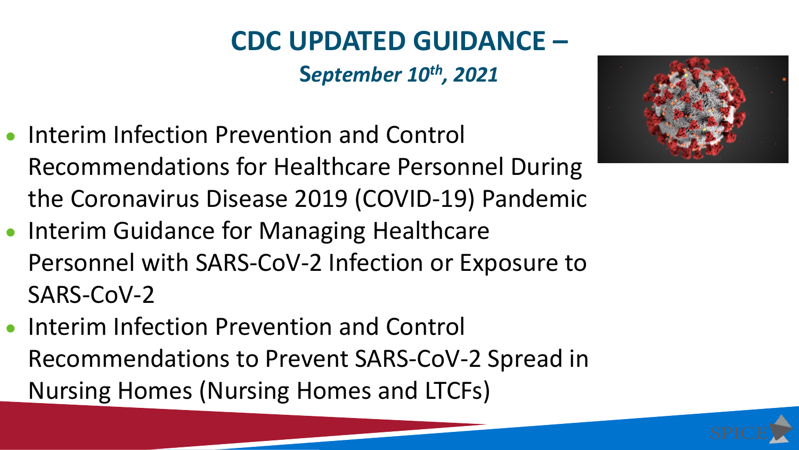# **CDC UPDATED GUIDANCE –**

**S***eptember 10th, 2021*

- Interim Infection Prevention and Control Recommendations for Healthcare Personnel During the Coronavirus Disease 2019 (COVID-19) Pandemic
- Interim Guidance for Managing Healthcare Personnel with SARS-CoV-2 Infection or Exposure to SARS-CoV-2
- Interim Infection Prevention and Control Recommendations to Prevent SARS-CoV-2 Spread in Nursing Homes (Nursing Homes and LTCFs)

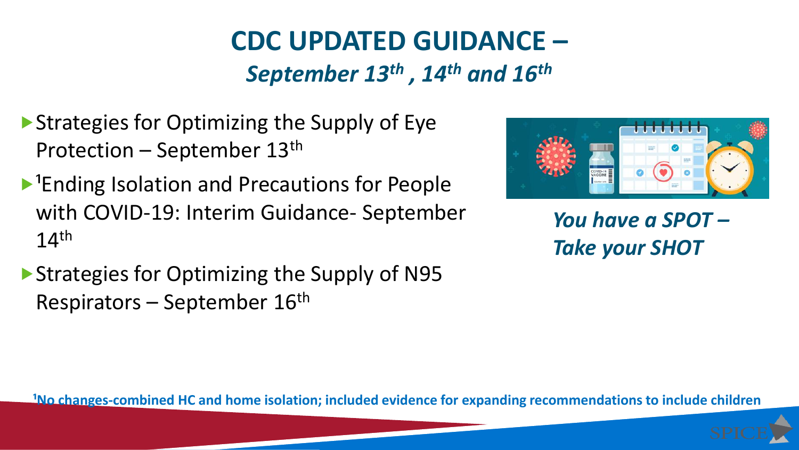# **CDC UPDATED GUIDANCE –** *September 13th , 14th and 16th*

- ▶ Strategies for Optimizing the Supply of Eye Protection – September 13th
- $\blacktriangleright$ <sup>1</sup>Ending Isolation and Precautions for People with COVID-19: Interim Guidance- September  $14<sup>th</sup>$
- ▶ Strategies for Optimizing the Supply of N95 Respirators – September 16th



*You have a SPOT – Take your SHOT*

**<sup>1</sup>No changes-combined HC and home isolation; included evidence for expanding recommendations to include children**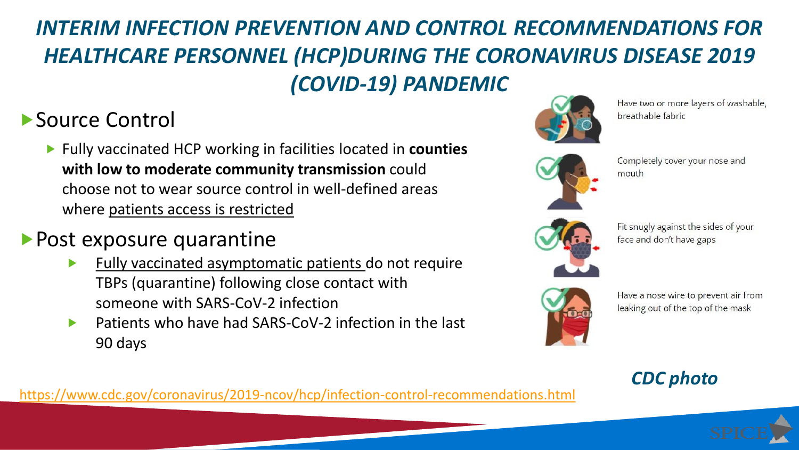# *INTERIM INFECTION PREVENTION AND CONTROL RECOMMENDATIONS FOR HEALTHCARE PERSONNEL (HCP)DURING THE CORONAVIRUS DISEASE 2019 (COVID-19) PANDEMIC*

## ▶ Source Control

 Fully vaccinated HCP working in facilities located in **counties with low to moderate community transmission** could choose not to wear source control in well-defined areas where patients access is restricted

#### **Post exposure quarantine**

- Fully vaccinated asymptomatic patients do not require TBPs (quarantine) following close contact with someone with SARS-CoV-2 infection
- Patients who have had SARS-CoV-2 infection in the last 90 days



Have two or more layers of washable, breathable fabric



Completely cover your nose and mouth



Fit snugly against the sides of your face and don't have gaps



Have a nose wire to prevent air from leaking out of the top of the mask

#### *CDC photo*

<https://www.cdc.gov/coronavirus/2019-ncov/hcp/infection-control-recommendations.html>

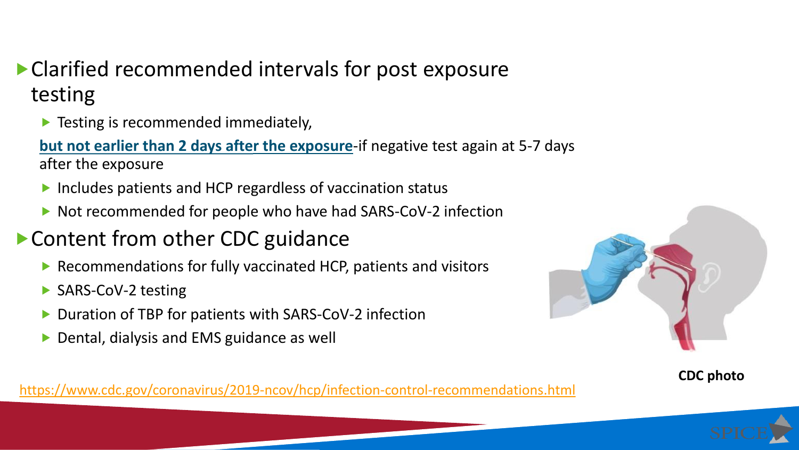## Clarified recommended intervals for post exposure testing

**Testing is recommended immediately,** 

**but not earlier than 2 days after the exposure**-if negative test again at 5-7 days after the exposure

- ▶ Includes patients and HCP regardless of vaccination status
- ▶ Not recommended for people who have had SARS-CoV-2 infection

## ▶ Content from other CDC guidance

- ▶ Recommendations for fully vaccinated HCP, patients and visitors
- ▶ SARS-CoV-2 testing
- ▶ Duration of TBP for patients with SARS-CoV-2 infection
- ▶ Dental, dialysis and EMS guidance as well



**CDC photo**

<https://www.cdc.gov/coronavirus/2019-ncov/hcp/infection-control-recommendations.html>

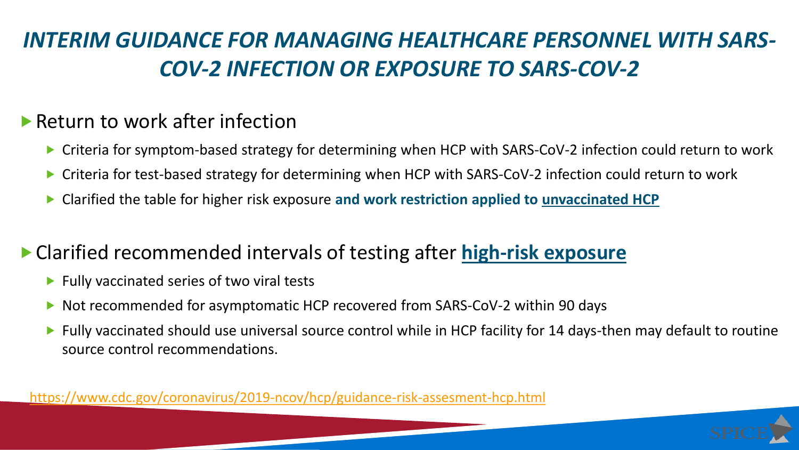# *INTERIM GUIDANCE FOR MANAGING HEALTHCARE PERSONNEL WITH SARS-COV-2 INFECTION OR EXPOSURE TO SARS-COV-2*

#### ▶ Return to work after infection

- ▶ Criteria for symptom-based strategy for determining when HCP with SARS-CoV-2 infection could return to work
- Criteria for test-based strategy for determining when HCP with SARS-CoV-2 infection could return to work
- Clarified the table for higher risk exposure **and work restriction applied to unvaccinated HCP**

### Clarified recommended intervals of testing after **high-risk exposure**

- $\blacktriangleright$  Fully vaccinated series of two viral tests
- Not recommended for asymptomatic HCP recovered from SARS-CoV-2 within 90 days
- Fully vaccinated should use universal source control while in HCP facility for 14 days-then may default to routine source control recommendations.

<https://www.cdc.gov/coronavirus/2019-ncov/hcp/guidance-risk-assesment-hcp.html>

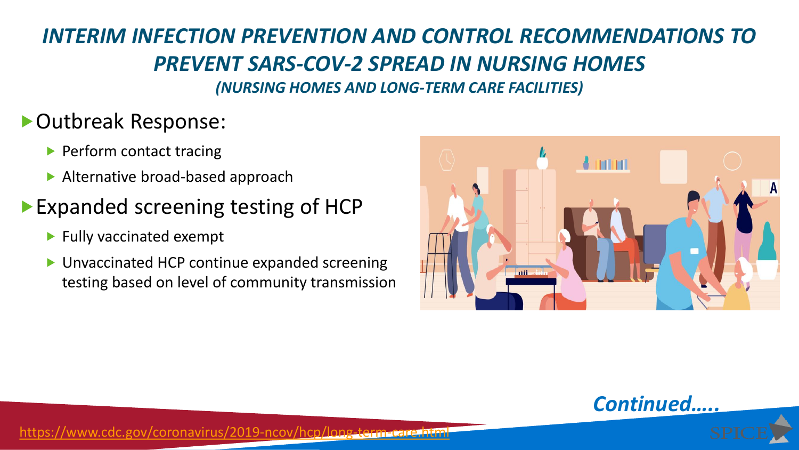#### *INTERIM INFECTION PREVENTION AND CONTROL RECOMMENDATIONS TO PREVENT SARS-COV-2 SPREAD IN NURSING HOMES (NURSING HOMES AND LONG-TERM CARE FACILITIES)*

### Outbreak Response:

- Perform contact tracing
- ▶ Alternative broad-based approach

## ▶ Expanded screening testing of HCP

- $\blacktriangleright$  Fully vaccinated exempt
- ▶ Unvaccinated HCP continue expanded screening testing based on level of community transmission





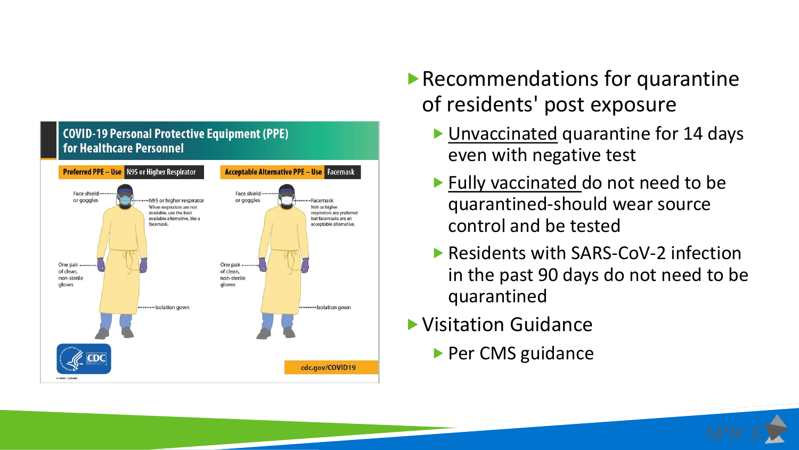

- Recommendations for quarantine of residents' post exposure
	- ▶ Unvaccinated quarantine for 14 days even with negative test
	- **Fully vaccinated do not need to be** quarantined-should wear source control and be tested
	- ▶ Residents with SARS-CoV-2 infection in the past 90 days do not need to be quarantined
- Visitation Guidance
	- Per CMS guidance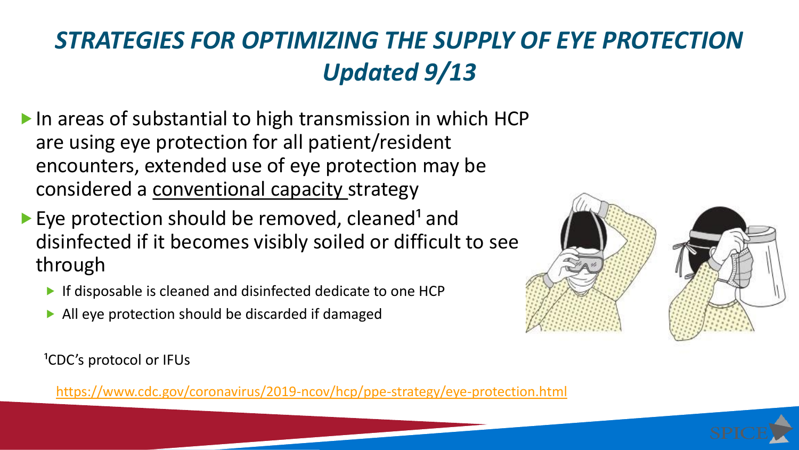# *STRATEGIES FOR OPTIMIZING THE SUPPLY OF EYE PROTECTION Updated 9/13*

- $\blacktriangleright$  In areas of substantial to high transmission in which HCP are using eye protection for all patient/resident encounters, extended use of eye protection may be considered a conventional capacity strategy
- Eye protection should be removed, cleaned<sup>1</sup> and disinfected if it becomes visibly soiled or difficult to see through
	- **If disposable is cleaned and disinfected dedicate to one HCP**
	- All eye protection should be discarded if damaged



<https://www.cdc.gov/coronavirus/2019-ncov/hcp/ppe-strategy/eye-protection.html>



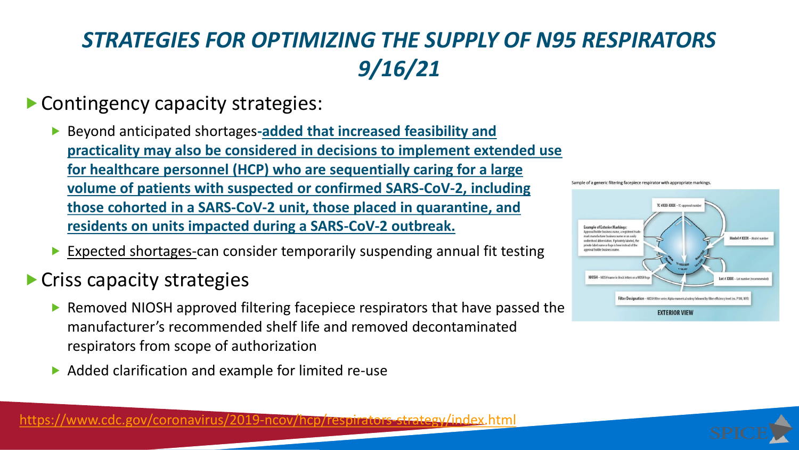# *STRATEGIES FOR OPTIMIZING THE SUPPLY OF N95 RESPIRATORS 9/16/21*

- ▶ Contingency capacity strategies:
	- ▶ Beyond anticipated shortages-added that increased feasibility and **practicality may also be considered in decisions to implement extended use for healthcare personnel (HCP) who are sequentially caring for a large volume of patients with suspected or confirmed SARS-CoV-2, including those cohorted in a SARS-CoV-2 unit, those placed in quarantine, and residents on units impacted during a SARS-CoV-2 outbreak.**
	- ▶ Expected shortages-can consider temporarily suspending annual fit testing
- **Criss capacity strategies** 
	- ▶ Removed NIOSH approved filtering facepiece respirators that have passed the manufacturer's recommended shelf life and removed decontaminated respirators from scope of authorization
	- Added clarification and example for limited re-use





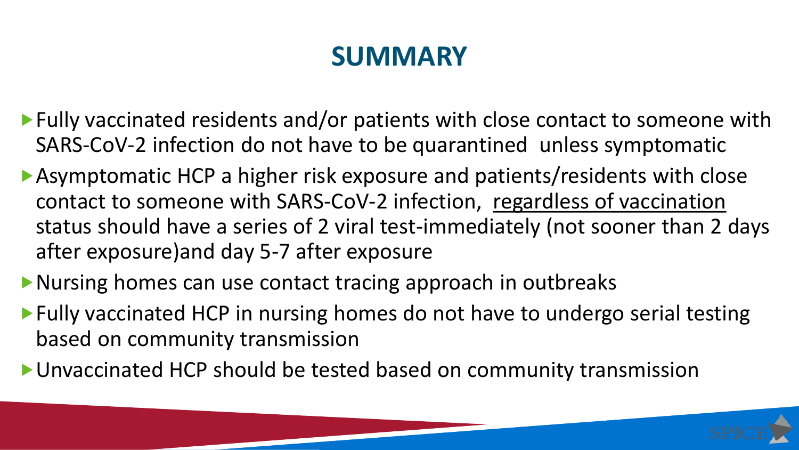# **SUMMARY**

- ▶ Fully vaccinated residents and/or patients with close contact to someone with SARS-CoV-2 infection do not have to be quarantined unless symptomatic
- Asymptomatic HCP a higher risk exposure and patients/residents with close contact to someone with SARS-CoV-2 infection, regardless of vaccination status should have a series of 2 viral test-immediately (not sooner than 2 days after exposure)and day 5-7 after exposure
- Nursing homes can use contact tracing approach in outbreaks
- ▶ Fully vaccinated HCP in nursing homes do not have to undergo serial testing based on community transmission
- Unvaccinated HCP should be tested based on community transmission

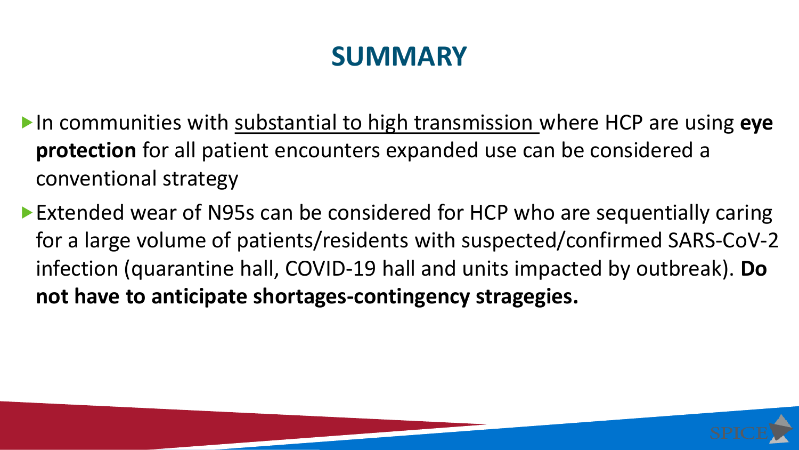# **SUMMARY**

- In communities with substantial to high transmission where HCP are using **eye protection** for all patient encounters expanded use can be considered a conventional strategy
- ▶ Extended wear of N95s can be considered for HCP who are sequentially caring for a large volume of patients/residents with suspected/confirmed SARS-CoV-2 infection (quarantine hall, COVID-19 hall and units impacted by outbreak). **Do not have to anticipate shortages-contingency stragegies.**